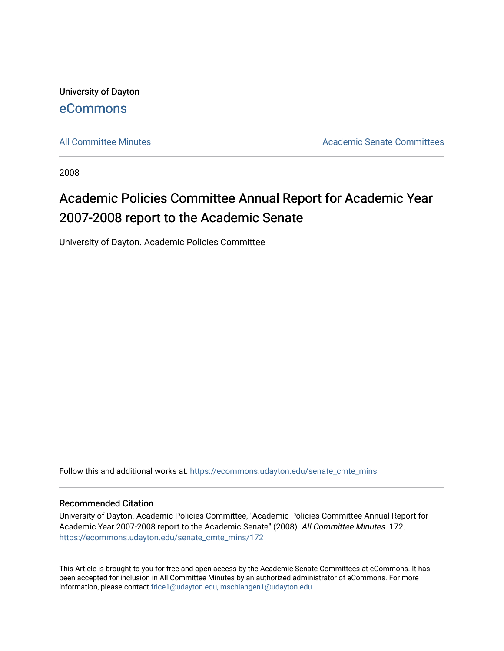University of Dayton [eCommons](https://ecommons.udayton.edu/)

[All Committee Minutes](https://ecommons.udayton.edu/senate_cmte_mins) **Academic Senate Committees** Academic Senate Committees

2008

## Academic Policies Committee Annual Report for Academic Year 2007-2008 report to the Academic Senate

University of Dayton. Academic Policies Committee

Follow this and additional works at: [https://ecommons.udayton.edu/senate\\_cmte\\_mins](https://ecommons.udayton.edu/senate_cmte_mins?utm_source=ecommons.udayton.edu%2Fsenate_cmte_mins%2F172&utm_medium=PDF&utm_campaign=PDFCoverPages)

## Recommended Citation

University of Dayton. Academic Policies Committee, "Academic Policies Committee Annual Report for Academic Year 2007-2008 report to the Academic Senate" (2008). All Committee Minutes. 172. [https://ecommons.udayton.edu/senate\\_cmte\\_mins/172](https://ecommons.udayton.edu/senate_cmte_mins/172?utm_source=ecommons.udayton.edu%2Fsenate_cmte_mins%2F172&utm_medium=PDF&utm_campaign=PDFCoverPages)

This Article is brought to you for free and open access by the Academic Senate Committees at eCommons. It has been accepted for inclusion in All Committee Minutes by an authorized administrator of eCommons. For more information, please contact [frice1@udayton.edu, mschlangen1@udayton.edu](mailto:frice1@udayton.edu,%20mschlangen1@udayton.edu).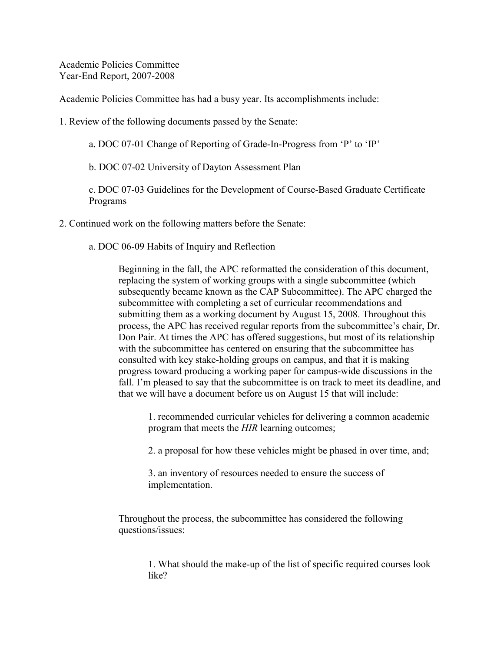Academic Policies Committee Year-End Report, 2007-2008

Academic Policies Committee has had a busy year. Its accomplishments include:

1. Review of the following documents passed by the Senate:

a. DOC 07-01 Change of Reporting of Grade-In-Progress from 'P' to 'IP'

b. DOC 07-02 University of Dayton Assessment Plan

c. DOC 07-03 Guidelines for the Development of Course-Based Graduate Certificate Programs

2. Continued work on the following matters before the Senate:

a. DOC 06-09 Habits of Inquiry and Reflection

Beginning in the fall, the APC reformatted the consideration of this document, replacing the system of working groups with a single subcommittee (which subsequently became known as the CAP Subcommittee). The APC charged the subcommittee with completing a set of curricular recommendations and submitting them as a working document by August 15, 2008. Throughout this process, the APC has received regular reports from the subcommittee's chair, Dr. Don Pair. At times the APC has offered suggestions, but most of its relationship with the subcommittee has centered on ensuring that the subcommittee has consulted with key stake-holding groups on campus, and that it is making progress toward producing a working paper for campus-wide discussions in the fall. I'm pleased to say that the subcommittee is on track to meet its deadline, and that we will have a document before us on August 15 that will include:

1. recommended curricular vehicles for delivering a common academic program that meets the *HIR* learning outcomes;

2. a proposal for how these vehicles might be phased in over time, and;

3. an inventory of resources needed to ensure the success of implementation.

Throughout the process, the subcommittee has considered the following questions/issues:

> 1. What should the make-up of the list of specific required courses look like?